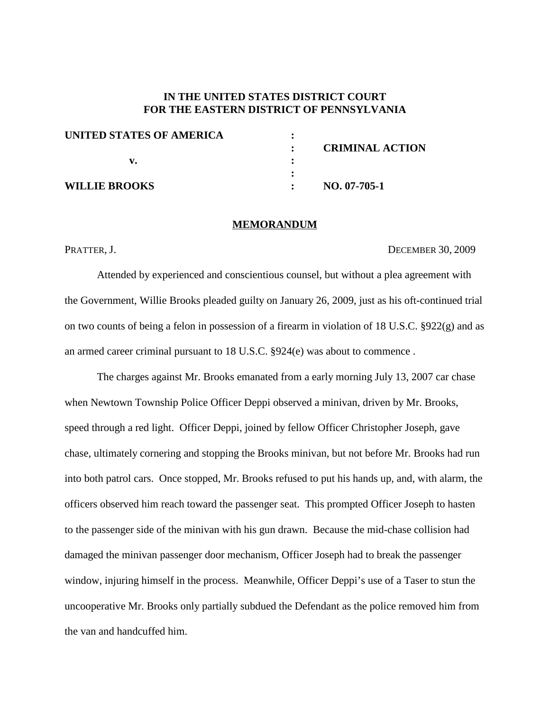# **IN THE UNITED STATES DISTRICT COURT FOR THE EASTERN DISTRICT OF PENNSYLVANIA**

| UNITED STATES OF AMERICA |                        |
|--------------------------|------------------------|
|                          | <b>CRIMINAL ACTION</b> |
|                          |                        |
|                          |                        |
| <b>WILLIE BROOKS</b>     | $NO. 07-705-1$         |

#### **MEMORANDUM**

PRATTER, J. DECEMBER 30, 2009

Attended by experienced and conscientious counsel, but without a plea agreement with the Government, Willie Brooks pleaded guilty on January 26, 2009, just as his oft-continued trial on two counts of being a felon in possession of a firearm in violation of 18 U.S.C. §922(g) and as an armed career criminal pursuant to 18 U.S.C. §924(e) was about to commence .

The charges against Mr. Brooks emanated from a early morning July 13, 2007 car chase when Newtown Township Police Officer Deppi observed a minivan, driven by Mr. Brooks, speed through a red light. Officer Deppi, joined by fellow Officer Christopher Joseph, gave chase, ultimately cornering and stopping the Brooks minivan, but not before Mr. Brooks had run into both patrol cars. Once stopped, Mr. Brooks refused to put his hands up, and, with alarm, the officers observed him reach toward the passenger seat. This prompted Officer Joseph to hasten to the passenger side of the minivan with his gun drawn. Because the mid-chase collision had damaged the minivan passenger door mechanism, Officer Joseph had to break the passenger window, injuring himself in the process. Meanwhile, Officer Deppi's use of a Taser to stun the uncooperative Mr. Brooks only partially subdued the Defendant as the police removed him from the van and handcuffed him.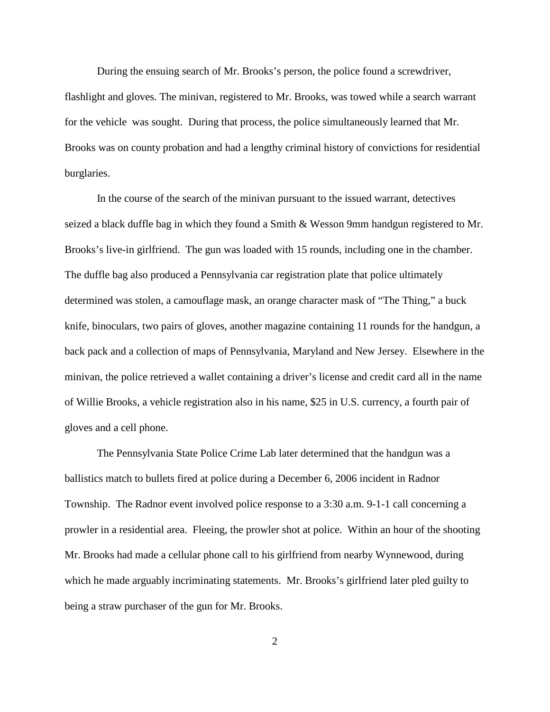During the ensuing search of Mr. Brooks's person, the police found a screwdriver, flashlight and gloves. The minivan, registered to Mr. Brooks, was towed while a search warrant for the vehicle was sought. During that process, the police simultaneously learned that Mr. Brooks was on county probation and had a lengthy criminal history of convictions for residential burglaries.

In the course of the search of the minivan pursuant to the issued warrant, detectives seized a black duffle bag in which they found a Smith & Wesson 9mm handgun registered to Mr. Brooks's live-in girlfriend. The gun was loaded with 15 rounds, including one in the chamber. The duffle bag also produced a Pennsylvania car registration plate that police ultimately determined was stolen, a camouflage mask, an orange character mask of "The Thing," a buck knife, binoculars, two pairs of gloves, another magazine containing 11 rounds for the handgun, a back pack and a collection of maps of Pennsylvania, Maryland and New Jersey. Elsewhere in the minivan, the police retrieved a wallet containing a driver's license and credit card all in the name of Willie Brooks, a vehicle registration also in his name, \$25 in U.S. currency, a fourth pair of gloves and a cell phone.

The Pennsylvania State Police Crime Lab later determined that the handgun was a ballistics match to bullets fired at police during a December 6, 2006 incident in Radnor Township. The Radnor event involved police response to a 3:30 a.m. 9-1-1 call concerning a prowler in a residential area. Fleeing, the prowler shot at police. Within an hour of the shooting Mr. Brooks had made a cellular phone call to his girlfriend from nearby Wynnewood, during which he made arguably incriminating statements. Mr. Brooks's girlfriend later pled guilty to being a straw purchaser of the gun for Mr. Brooks.

2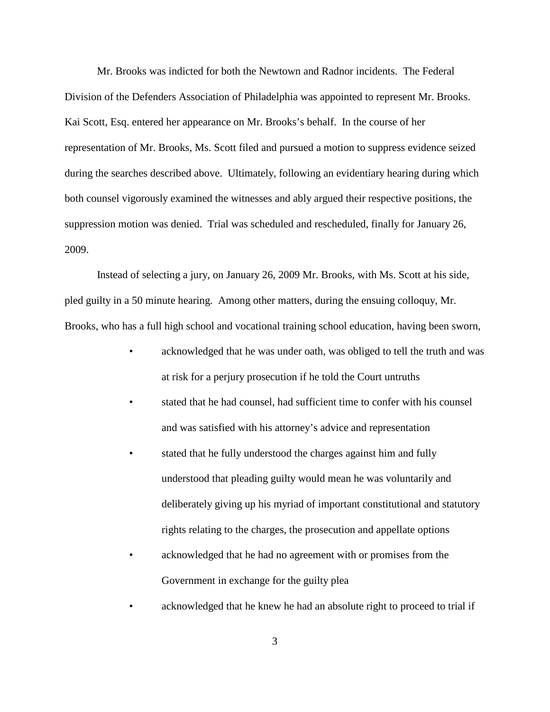Mr. Brooks was indicted for both the Newtown and Radnor incidents. The Federal Division of the Defenders Association of Philadelphia was appointed to represent Mr. Brooks. Kai Scott, Esq. entered her appearance on Mr. Brooks's behalf. In the course of her representation of Mr. Brooks, Ms. Scott filed and pursued a motion to suppress evidence seized during the searches described above. Ultimately, following an evidentiary hearing during which both counsel vigorously examined the witnesses and ably argued their respective positions, the suppression motion was denied. Trial was scheduled and rescheduled, finally for January 26, 2009.

Instead of selecting a jury, on January 26, 2009 Mr. Brooks, with Ms. Scott at his side, pled guilty in a 50 minute hearing. Among other matters, during the ensuing colloquy, Mr. Brooks, who has a full high school and vocational training school education, having been sworn,

- acknowledged that he was under oath, was obliged to tell the truth and was at risk for a perjury prosecution if he told the Court untruths
- stated that he had counsel, had sufficient time to confer with his counsel and was satisfied with his attorney's advice and representation
- stated that he fully understood the charges against him and fully understood that pleading guilty would mean he was voluntarily and deliberately giving up his myriad of important constitutional and statutory rights relating to the charges, the prosecution and appellate options
- acknowledged that he had no agreement with or promises from the Government in exchange for the guilty plea
- acknowledged that he knew he had an absolute right to proceed to trial if

3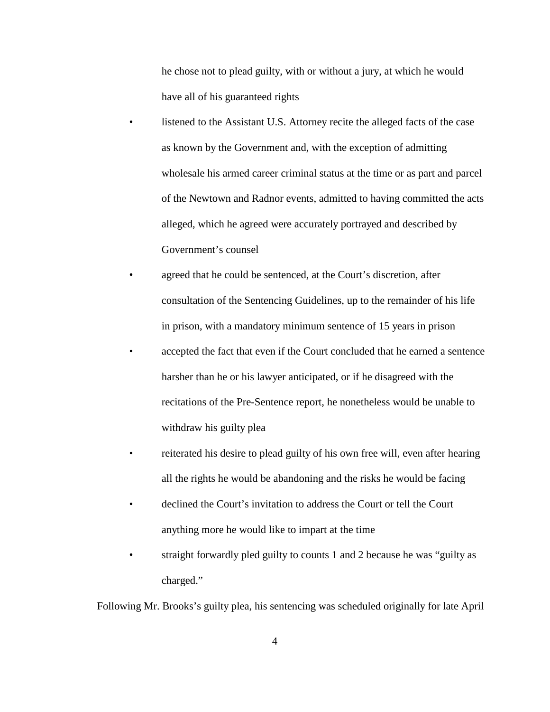he chose not to plead guilty, with or without a jury, at which he would have all of his guaranteed rights

- listened to the Assistant U.S. Attorney recite the alleged facts of the case as known by the Government and, with the exception of admitting wholesale his armed career criminal status at the time or as part and parcel of the Newtown and Radnor events, admitted to having committed the acts alleged, which he agreed were accurately portrayed and described by Government's counsel
- agreed that he could be sentenced, at the Court's discretion, after consultation of the Sentencing Guidelines, up to the remainder of his life in prison, with a mandatory minimum sentence of 15 years in prison
- accepted the fact that even if the Court concluded that he earned a sentence harsher than he or his lawyer anticipated, or if he disagreed with the recitations of the Pre-Sentence report, he nonetheless would be unable to withdraw his guilty plea
- reiterated his desire to plead guilty of his own free will, even after hearing all the rights he would be abandoning and the risks he would be facing
- declined the Court's invitation to address the Court or tell the Court anything more he would like to impart at the time
- straight forwardly pled guilty to counts 1 and 2 because he was "guilty as charged."

Following Mr. Brooks's guilty plea, his sentencing was scheduled originally for late April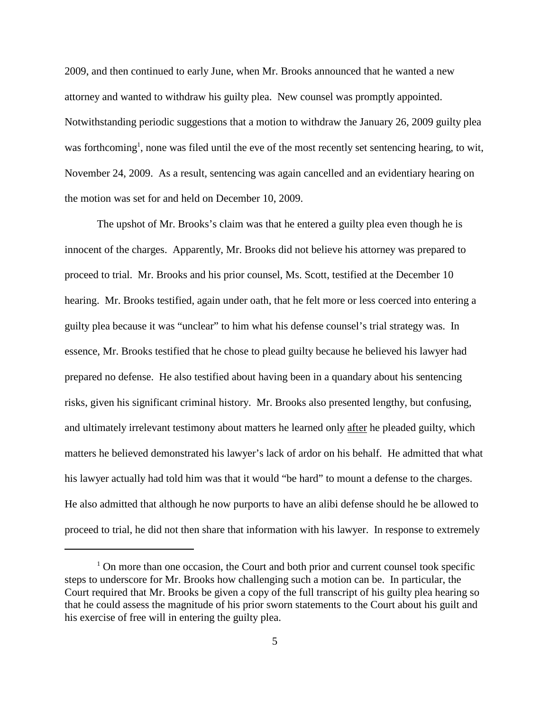2009, and then continued to early June, when Mr. Brooks announced that he wanted a new attorney and wanted to withdraw his guilty plea. New counsel was promptly appointed. Notwithstanding periodic suggestions that a motion to withdraw the January 26, 2009 guilty plea was forthcoming<sup>1</sup>, none was filed until the eve of the most recently set sentencing hearing, to wit, November 24, 2009. As a result, sentencing was again cancelled and an evidentiary hearing on the motion was set for and held on December 10, 2009.

The upshot of Mr. Brooks's claim was that he entered a guilty plea even though he is innocent of the charges. Apparently, Mr. Brooks did not believe his attorney was prepared to proceed to trial. Mr. Brooks and his prior counsel, Ms. Scott, testified at the December 10 hearing. Mr. Brooks testified, again under oath, that he felt more or less coerced into entering a guilty plea because it was "unclear" to him what his defense counsel's trial strategy was. In essence, Mr. Brooks testified that he chose to plead guilty because he believed his lawyer had prepared no defense. He also testified about having been in a quandary about his sentencing risks, given his significant criminal history. Mr. Brooks also presented lengthy, but confusing, and ultimately irrelevant testimony about matters he learned only after he pleaded guilty, which matters he believed demonstrated his lawyer's lack of ardor on his behalf. He admitted that what his lawyer actually had told him was that it would "be hard" to mount a defense to the charges. He also admitted that although he now purports to have an alibi defense should he be allowed to proceed to trial, he did not then share that information with his lawyer. In response to extremely

 $1$  On more than one occasion, the Court and both prior and current counsel took specific steps to underscore for Mr. Brooks how challenging such a motion can be. In particular, the Court required that Mr. Brooks be given a copy of the full transcript of his guilty plea hearing so that he could assess the magnitude of his prior sworn statements to the Court about his guilt and his exercise of free will in entering the guilty plea.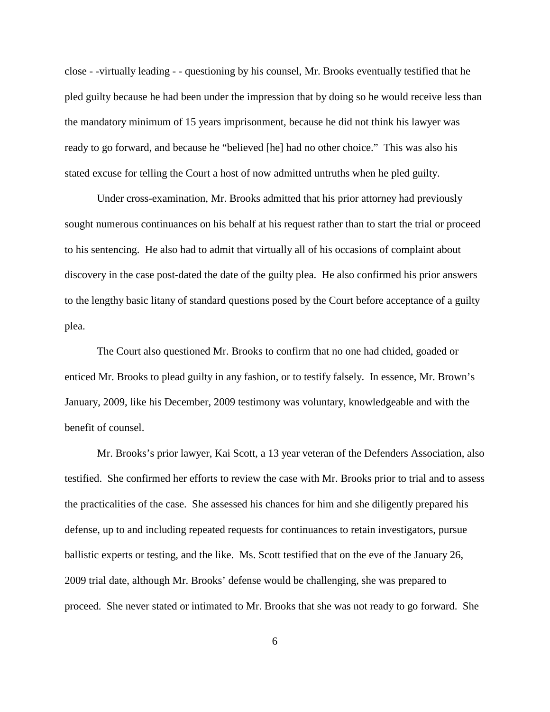close - -virtually leading - - questioning by his counsel, Mr. Brooks eventually testified that he pled guilty because he had been under the impression that by doing so he would receive less than the mandatory minimum of 15 years imprisonment, because he did not think his lawyer was ready to go forward, and because he "believed [he] had no other choice." This was also his stated excuse for telling the Court a host of now admitted untruths when he pled guilty.

Under cross-examination, Mr. Brooks admitted that his prior attorney had previously sought numerous continuances on his behalf at his request rather than to start the trial or proceed to his sentencing. He also had to admit that virtually all of his occasions of complaint about discovery in the case post-dated the date of the guilty plea. He also confirmed his prior answers to the lengthy basic litany of standard questions posed by the Court before acceptance of a guilty plea.

The Court also questioned Mr. Brooks to confirm that no one had chided, goaded or enticed Mr. Brooks to plead guilty in any fashion, or to testify falsely. In essence, Mr. Brown's January, 2009, like his December, 2009 testimony was voluntary, knowledgeable and with the benefit of counsel.

Mr. Brooks's prior lawyer, Kai Scott, a 13 year veteran of the Defenders Association, also testified. She confirmed her efforts to review the case with Mr. Brooks prior to trial and to assess the practicalities of the case. She assessed his chances for him and she diligently prepared his defense, up to and including repeated requests for continuances to retain investigators, pursue ballistic experts or testing, and the like. Ms. Scott testified that on the eve of the January 26, 2009 trial date, although Mr. Brooks' defense would be challenging, she was prepared to proceed. She never stated or intimated to Mr. Brooks that she was not ready to go forward. She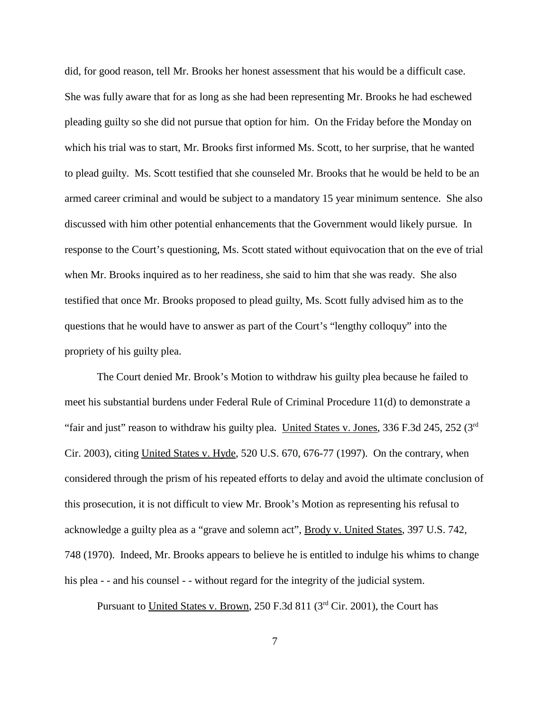did, for good reason, tell Mr. Brooks her honest assessment that his would be a difficult case. She was fully aware that for as long as she had been representing Mr. Brooks he had eschewed pleading guilty so she did not pursue that option for him. On the Friday before the Monday on which his trial was to start, Mr. Brooks first informed Ms. Scott, to her surprise, that he wanted to plead guilty. Ms. Scott testified that she counseled Mr. Brooks that he would be held to be an armed career criminal and would be subject to a mandatory 15 year minimum sentence. She also discussed with him other potential enhancements that the Government would likely pursue. In response to the Court's questioning, Ms. Scott stated without equivocation that on the eve of trial when Mr. Brooks inquired as to her readiness, she said to him that she was ready. She also testified that once Mr. Brooks proposed to plead guilty, Ms. Scott fully advised him as to the questions that he would have to answer as part of the Court's "lengthy colloquy" into the propriety of his guilty plea.

The Court denied Mr. Brook's Motion to withdraw his guilty plea because he failed to meet his substantial burdens under Federal Rule of Criminal Procedure 11(d) to demonstrate a "fair and just" reason to withdraw his guilty plea. United States v. Jones, 336 F.3d 245, 252 (3rd) Cir. 2003), citing United States v. Hyde, 520 U.S. 670, 676-77 (1997). On the contrary, when considered through the prism of his repeated efforts to delay and avoid the ultimate conclusion of this prosecution, it is not difficult to view Mr. Brook's Motion as representing his refusal to acknowledge a guilty plea as a "grave and solemn act", Brody v. United States, 397 U.S. 742, 748 (1970). Indeed, Mr. Brooks appears to believe he is entitled to indulge his whims to change his plea - - and his counsel - - without regard for the integrity of the judicial system.

Pursuant to United States v. Brown, 250 F.3d 811 (3<sup>rd</sup> Cir. 2001), the Court has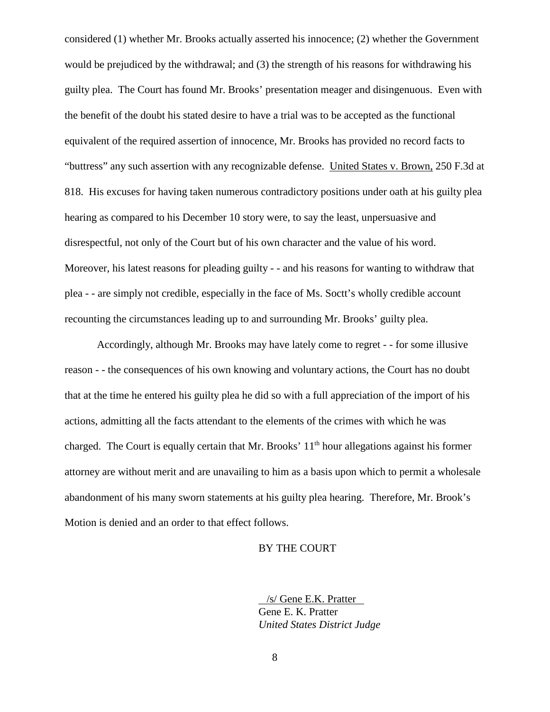considered (1) whether Mr. Brooks actually asserted his innocence; (2) whether the Government would be prejudiced by the withdrawal; and (3) the strength of his reasons for withdrawing his guilty plea. The Court has found Mr. Brooks' presentation meager and disingenuous. Even with the benefit of the doubt his stated desire to have a trial was to be accepted as the functional equivalent of the required assertion of innocence, Mr. Brooks has provided no record facts to "buttress" any such assertion with any recognizable defense. United States v. Brown, 250 F.3d at 818. His excuses for having taken numerous contradictory positions under oath at his guilty plea hearing as compared to his December 10 story were, to say the least, unpersuasive and disrespectful, not only of the Court but of his own character and the value of his word. Moreover, his latest reasons for pleading guilty - - and his reasons for wanting to withdraw that plea - - are simply not credible, especially in the face of Ms. Soctt's wholly credible account recounting the circumstances leading up to and surrounding Mr. Brooks' guilty plea.

Accordingly, although Mr. Brooks may have lately come to regret - - for some illusive reason - - the consequences of his own knowing and voluntary actions, the Court has no doubt that at the time he entered his guilty plea he did so with a full appreciation of the import of his actions, admitting all the facts attendant to the elements of the crimes with which he was charged. The Court is equally certain that Mr. Brooks'  $11<sup>th</sup>$  hour allegations against his former attorney are without merit and are unavailing to him as a basis upon which to permit a wholesale abandonment of his many sworn statements at his guilty plea hearing. Therefore, Mr. Brook's Motion is denied and an order to that effect follows.

### BY THE COURT

/s/ Gene E.K. Pratter Gene E. K. Pratter *United States District Judge*